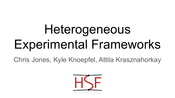# Heterogeneous Experimental Frameworks

Chris Jones, Kyle Knoepfel, Attila Krasznahorkay



HEP Software Foundation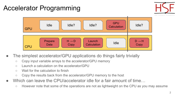# Accelerator Programming



**CPU GPU** Prepare Data  $H \rightarrow D$ Copy **Launch Calculation GPU** Idle? | Calculation | | Idle?  $D \rightarrow H$ Copy Idle Idle I Idle?

- The simplest accelerator/GPU applications do things fairly trivially
	- Copy input variable arrays to the accelerator/GPU memory
	- Launch a calculation on the accelerator/GPU
	- Wait for the calculation to finish
	- Copy the results back from the accelerator/GPU memory to the host
- Which can leave the CPU/accelerator idle for a fair amount of time...
	- However note that some of the operations are not as lightweight on the CPU as you may assume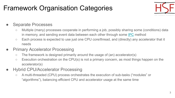## Framework Organisation Categories



#### **Separate Processes**

- Multiple (many) processes cooperate in performing a job, possibly sharing some (conditions) data in memory, and sending event data between each other through some [IPC](https://en.wikipedia.org/wiki/Inter-process_communication) method
- Each process is expected to use just one CPU core/thread, and (directly) any accelerator that it needs
- Primary Accelerator Processing
	- The framework is designed primarily around the usage of (an) accelerator(s)
	- Execution orchestration on the CPU(s) is not a primary concern, as most things happen on the accelerator(s)
- Hybrid CPU/Accelerator Processing
	- A multi-threaded (CPU) process orchestrates the execution of sub-tasks ("modules" or "algorithms"), balancing efficient CPU and accelerator usage at the same time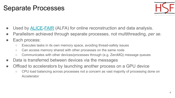#### Separate Processes



- Used by **[ALICE-](http://alice.web.cern.ch/)FAIR** (ALFA) for online reconstruction and data analysis.
- Parallelism achieved through separate processes, not multithreading, *per se*.
- Each process:
	- Executes tasks in its own memory space, avoiding thread-safety issues
	- Can access memory shared with other processes on the same node
	- Communicates with other devices/processes through (e.g. ZeroMQ) message queues
- Data is transferred between devices via the messages
- Offload to accelerators by launching another process on a GPU device
	- CPU load balancing across processes not a concern as vast majority of processing done on Accelerator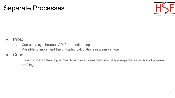#### Separate Processes



#### Pros:

- Can use a synchronous API for the offloading
- Possible to implement the offloaded calculations in a simpler way
- Cons:
	- Dynamic load-balancing is hard to achieve, ideal resource usage requires some sort of pre-run profiling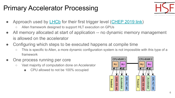## Primary Accelerator Processing



- Approach used by [LHCb](http://lhcb.web.cern.ch/) for their first trigger level ([CHEP 2019 link](https://indico.cern.ch/event/773049/contributions/3474298/attachments/1938619/3213523/vom_Bruch_Allen_chep2019.pdf))
	- Allen framework designed to support HLT execution on GPUs
- All memory allocated at start of application -- no dynamic memory management is allowed on the accelerator
- Configuring which steps to be executed happens at compile time
	- This is specific to Allen, a more dynamic configuration system is not impossible with this type of a framework
- One process running per core
	- Vast majority of computation done on Accelerator
		- CPU allowed to not be 100% occupied

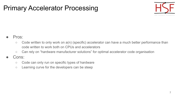### Primary Accelerator Processing



#### Pros:

- Code written to only work on a(n) (specific) accelerator can have a much better performance than code written to work both on CPUs and accelerators
- Can rely on "hardware manufacturer solutions" for optimal accelerator code organisation
- Cons:
	- Code can only run on specific types of hardware
	- Learning curve for the developers can be steep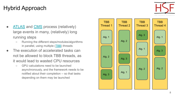#### Hybrid Approach

HEP Software Foundation

- [ATLAS](http://atlas.cern/) and [CMS](https://cms.cern/) process (relatively) large events in many, (relatively) long running steps
	- Running the different steps/modules/algorithms in parallel, using multiple [\(TBB\)](https://software.intel.com/content/www/us/en/develop/tools/threading-building-blocks.html) threads
- The execution of accelerated tasks can not be allowed to block TBB threads, as it would lead to wasted CPU resources
	- GPU calculations need to be launched asynchronously, and the framework needs to be notified about their completion -- so that tasks depending on them may be launched

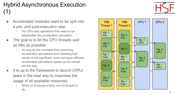#### Hybrid Asynchronous Execution (1)

- Accelerated modules need to be split into a pre- and post-execution step
	- For CPU-only operations that need to run before/after the accelerated calculation
- The goal is to let the CPU threads wait as little as possible
	- As long as the overhead from launching accelerated calculations and collecting their results is not significant, even not-super-efficient accelerated calculations speed up the overall job this way
- It is up to the framework to launch (CPU) tasks in the best way to maximise the usage of all available resources
	- Which is of course a fairly non-trivial task to do…



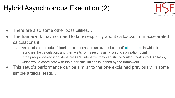# Hybrid Asynchronous Execution (2)



- There are also some other possibilities...
- The framework may not need to know explicitly about callbacks from accelerated calculations if:
	- An accelerated module/algorithm is launched in an "oversubscribed" [std::thread](https://en.cppreference.com/w/cpp/thread/thread), in which it launches the calculation, and then waits for its results using a synchronisation point
	- If the pre-/post-execution steps are CPU intensive, they can still be "outsourced" into TBB tasks, which would coordinate with the other calculations launched by the framework
- This setup's performance can be similar to the one explained previously, in some simple artificial tests…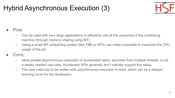# Hybrid Asynchronous Execution (3)



#### Pros:

- Can be used with very large applications to efficiently use all the resources of the underlying machine (through memory sharing using MT)
- Using a smart MT scheduling system (like TBB or HPX) can make it possible to maximise the CPU usage of the job
- Cons:
	- Ideal parallel asynchronous execution of accelerated tasks, launched from multiple threads, is not a widely needed use-case. Accelerator APIs generally don't natively support this setup.
	- The user code has to be written with asynchronous execution in mind, which can be a steeper learning curve for the developers